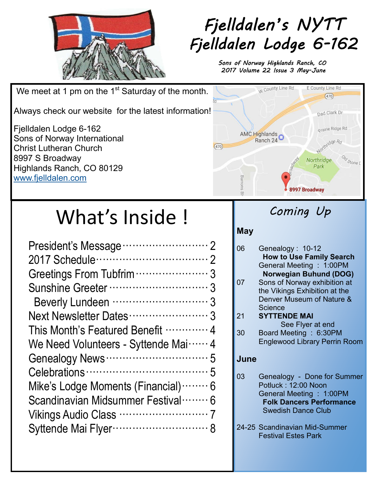

# *Fjelldalen's NYTT Fjelldalen Lodge 6-162*

*Sons of Norway Highlands Ranch, CO 2017 Volume 22 Issue 3 May-June* 

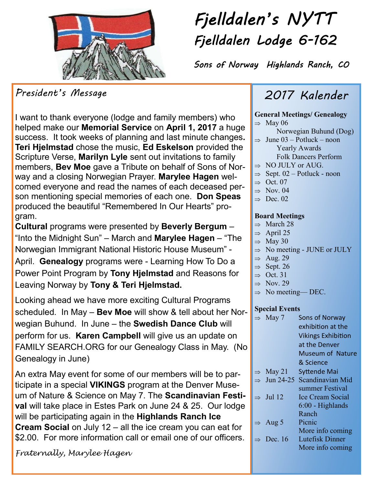

## $\overline{r}$ *Fjelldalen's NYTT Fjelldalen Lodge 6-162*

*Sons of Norway Highlands Ranch, CO* 

*President's Message* 

I want to thank everyone (lodge and family members) who helped make our **Memorial Service** on **April 1, 2017** a huge success. It took weeks of planning and last minute changes**. Teri Hjelmstad** chose the music, **Ed Eskelson** provided the Scripture Verse, **Marilyn Lyle** sent out invitations to family members, **Bev Moe** gave a Tribute on behalf of Sons of Norway and a closing Norwegian Prayer. **Marylee Hagen** welcomed everyone and read the names of each deceased person mentioning special memories of each one. **Don Speas** produced the beautiful "Remembered In Our Hearts" program.

**Cultural** programs were presented by **Beverly Bergum** – "Into the Midnight Sun" – March and **Marylee Hagen** – "The Norwegian Immigrant National Historic House Museum" - April. **Genealogy** programs were - Learning How To Do a Power Point Program by **Tony Hjelmstad** and Reasons for Leaving Norway by **Tony & Teri Hjelmstad.**

Looking ahead we have more exciting Cultural Programs scheduled. In May – **Bev Moe** will show & tell about her Norwegian Buhund.In June – the **Swedish Dance Club** will perform for us. **Karen Campbell** will give us an update on FAMILY SEARCH.ORG for our Genealogy Class in May. (No Genealogy in June)

An extra May event for some of our members will be to participate in a special **VIKINGS** program at the Denver Museum of Nature & Science on May 7. The **Scandinavian Festival** will take place in Estes Park on June 24 & 25. Our lodge will be participating again in the **Highlands Ranch Ice Cream Social** on July 12 – all the ice cream you can eat for \$2.00. For more information call or email one of our officers.

*Fraternally, Marylee Hagen*

### *2017 Kalender*

#### **General Meetings/ Genealogy**

- $\Rightarrow$  May 06
	- Norwegian Buhund (Dog)
- $\Rightarrow$  June 03 Potluck noon Yearly Awards Folk Dancers Perform
- $\Rightarrow$  NO JULY or AUG.
- $\Rightarrow$  Sept. 02 Potluck noon
- $\Rightarrow$  Oct. 07
- $\Rightarrow$  Nov. 04
- $\Rightarrow$  Dec. 02

#### **Board Meetings**

- $\Rightarrow$  March 28
- $\Rightarrow$  April 25
- $\Rightarrow$  May 30
	- $\Rightarrow$  No meeting JUNE or JULY
- $\Rightarrow$  Aug. 29
- $\Rightarrow$  Sept. 26
- $\Rightarrow$  Oct. 31
- $\Rightarrow$  Nov. 29
- $\Rightarrow$  No meeting—DEC.

#### **Special Events**

|  | $\Rightarrow$ May 7     | Sons of Norway            |
|--|-------------------------|---------------------------|
|  |                         | exhibition at the         |
|  |                         | <b>Vikings Exhibition</b> |
|  |                         | at the Denver             |
|  |                         | Museum of Nature          |
|  |                         | & Science                 |
|  | $\Rightarrow$ May 21    | <b>Syttende Mai</b>       |
|  | $\Rightarrow$ Jun 24-25 | Scandinavian Mid          |
|  |                         | summer Festival           |
|  | $\Rightarrow$ Jul 12    | Ice Cream Social          |
|  |                         | $6:00$ - Highlands        |
|  |                         | Ranch                     |
|  | $\Rightarrow$ Aug 5     | Picnic                    |
|  |                         | More info coming          |
|  | $\Rightarrow$ Dec. 16   | Lutefisk Dinner           |
|  |                         | More info coming          |
|  |                         |                           |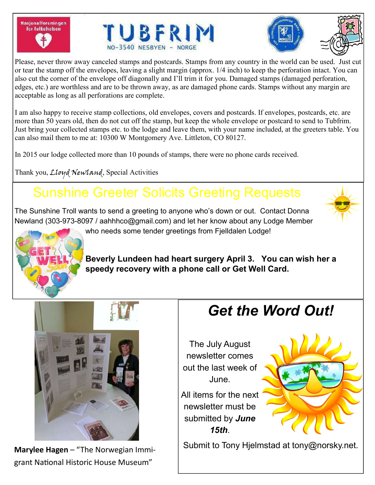Nasjonalforeningen for folkehelsen







Please, never throw away canceled stamps and postcards. Stamps from any country in the world can be used. Just cut or tear the stamp off the envelopes, leaving a slight margin (approx. 1/4 inch) to keep the perforation intact. You can also cut the corner of the envelope off diagonally and I'll trim it for you. Damaged stamps (damaged perforation, edges, etc.) are worthless and are to be thrown away, as are damaged phone cards. Stamps without any margin are acceptable as long as all perforations are complete.

I am also happy to receive stamp collections, old envelopes, covers and postcards. If envelopes, postcards, etc. are more than 50 years old, then do not cut off the stamp, but keep the whole envelope or postcard to send to Tubfrim. Just bring your collected stamps etc. to the lodge and leave them, with your name included, at the greeters table. You can also mail them to me at: 10300 W Montgomery Ave. Littleton, CO 80127.

In 2015 our lodge collected more than 10 pounds of stamps, there were no phone cards received.

Thank you, Lloyd Newland, Special Activities

# Sunshine Greeter Solicits Greeting Requests

The Sunshine Troll wants to send a greeting to anyone who's down or out. Contact Donna Newland (303-973-8097 / aahhhco@gmail.com) and let her know about any Lodge Member who needs some tender greetings from Fielldalen Lodge!



**Beverly Lundeen had heart surgery April 3. You can wish her a speedy recovery with a phone call or Get Well Card.**



grant National Historic House Museum"

# *Get the Word Out!*

The July August newsletter comes out the last week of June.

All items for the next newsletter must be submitted by *June 15th*.



Submit to Tony Hjelmstad at tony@norsky.net. **Marylee Hagen** – "The Norwegian Immi-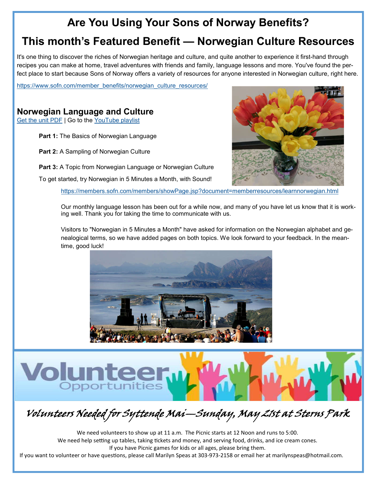### **Are You Using Your Sons of Norway Benefits?**

#### **This month's Featured Benefit — Norwegian Culture Resources**

It's one thing to discover the riches of Norwegian heritage and culture, and quite another to experience it first-hand through recipes you can make at home, travel adventures with friends and family, language lessons and more. You've found the perfect place to start because Sons of Norway offers a variety of resources for anyone interested in Norwegian culture, right here.

https://www.sofn.com/member\_benefits/norwegian\_culture\_resources/

#### **Norwegian Language and Culture**

Get the unit PDF | Go to the YouTube playlist

**Volunt** 

Opportunities

**Part 1:** The Basics of Norwegian Language

**Part 2:** A Sampling of Norwegian Culture

**Part 3:** A Topic from Norwegian Language or Norwegian Culture

To get started, try Norwegian in 5 Minutes a Month, with Sound!

https://members.sofn.com/members/showPage.jsp?document=memberresources/learnnorwegian.html

Our monthly language lesson has been out for a while now, and many of you have let us know that it is working well. Thank you for taking the time to communicate with us.

Visitors to "Norwegian in 5 Minutes a Month" have asked for information on the Norwegian alphabet and genealogical terms, so we have added pages on both topics. We look forward to your feedback. In the meantime, good luck!



# Volunteers Needed for Syttende Mai—Sunday, May 21st at Sterns Park

We need volunteers to show up at 11 a.m. The Picnic starts at 12 Noon and runs to 5:00. We need help setting up tables, taking tickets and money, and serving food, drinks, and ice cream cones. If you have Picnic games for kids or all ages, please bring them.

If you want to volunteer or have questions, please call Marilyn Speas at 303-973-2158 or email her at marilynspeas@hotmail.com.

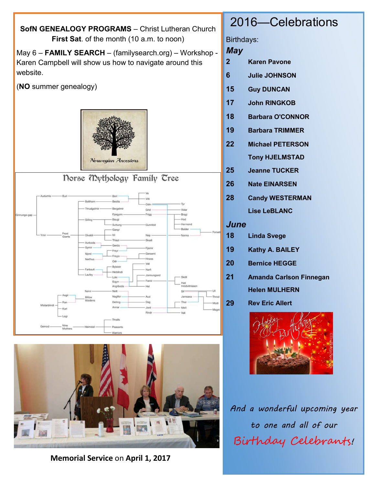



**Memorial Service** on **April 1, 2017**

### 2016—Celebrations

Birthdays:

*May*

- **2 Karen Pavone**
- **6 Julie JOHNSON**
- **15 Guy DUNCAN**
- **17 John RINGKOB**
- **18 Barbara O'CONNOR**
- **19 Barbara TRIMMER**
- **22 Michael PETERSON**
	- **Tony HJELMSTAD**
- **25 Jeanne TUCKER**
- **26 Nate EINARSEN**
- **28 Candy WESTERMAN**

**Lise LeBLANC**

*June*

- **18 Linda Svege**
- **19 Kathy A. BAILEY**
- **20 Bernice HEGGE**
- **21 Amanda Carlson Finnegan Helen MULHERN**
- **29 Rev Eric Allert**



*And a wonderful upcoming year to one and all of our*  Birthday Celebrants!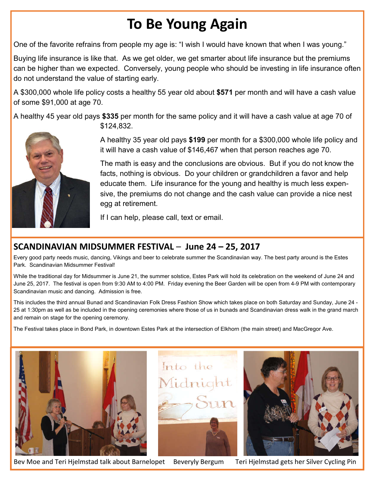# **To Be Young Again**

One of the favorite refrains from people my age is: "I wish I would have known that when I was young."

Buying life insurance is like that. As we get older, we get smarter about life insurance but the premiums can be higher than we expected. Conversely, young people who should be investing in life insurance often do not understand the value of starting early.

A \$300,000 whole life policy costs a healthy 55 year old about **\$571** per month and will have a cash value of some \$91,000 at age 70.

A healthy 45 year old pays **\$335** per month for the same policy and it will have a cash value at age 70 of \$124,832.



A healthy 35 year old pays **\$199** per month for a \$300,000 whole life policy and it will have a cash value of \$146,467 when that person reaches age 70.

The math is easy and the conclusions are obvious. But if you do not know the facts, nothing is obvious. Do your children or grandchildren a favor and help educate them. Life insurance for the young and healthy is much less expensive, the premiums do not change and the cash value can provide a nice nest egg at retirement.

If I can help, please call, text or email.

#### **SCANDINAVIAN MIDSUMMER FESTIVAL** – **June 24 – 25, 2017**

Every good party needs music, dancing, Vikings and beer to celebrate summer the Scandinavian way. The best party around is the Estes Park. Scandinavian Midsummer Festival!

While the traditional day for Midsummer is June 21, the summer solstice, Estes Park will hold its celebration on the weekend of June 24 and June 25, 2017. The festival is open from 9:30 AM to 4:00 PM. Friday evening the Beer Garden will be open from 4-9 PM with contemporary Scandinavian music and dancing. Admission is free.

This includes the third annual Bunad and Scandinavian Folk Dress Fashion Show which takes place on both Saturday and Sunday, June 24 - 25 at 1:30pm as well as be included in the opening ceremonies where those of us in bunads and Scandinavian dress walk in the grand march and remain on stage for the opening ceremony.

The Festival takes place in Bond Park, in downtown Estes Park at the intersection of Elkhorn (the main street) and MacGregor Ave.



Bev Moe and Teri Hjelmstad talk about Barnelopet Beveryly Bergum Teri Hjelmstad gets her Silver Cycling Pin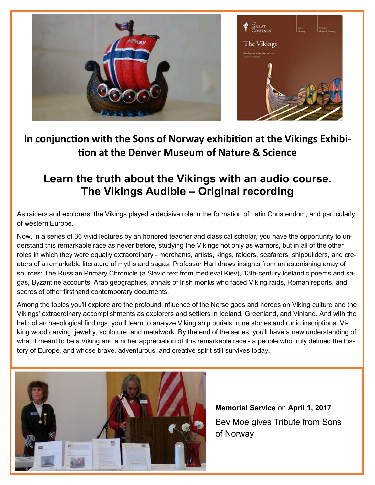

#### In conjunction with the Sons of Norway exhibition at the Vikings Exhibi**on at the Denver Museum of Nature & Science**

### **Learn the truth about the Vikings with an audio course. The Vikings Audible – Original recording**

As raiders and explorers, the Vikings played a decisive role in the formation of Latin Christendom, and particularly of western Europe.

Now, in a series of 36 vivid lectures by an honored teacher and classical scholar, you have the opportunity to understand this remarkable race as never before, studying the Vikings not only as warriors, but in all of the other roles in which they were equally extraordinary - merchants, artists, kings, raiders, seafarers, shipbuilders, and creators of a remarkable literature of myths and sagas. Professor Harl draws insights from an astonishing array of sources: The Russian Primary Chronicle (a Slavic text from medieval Kiev), 13th-century Icelandic poems and sagas, Byzantine accounts, Arab geographies, annals of Irish monks who faced Viking raids, Roman reports, and scores of other firsthand contemporary documents.

Among the topics you'll explore are the profound influence of the Norse gods and heroes on Viking culture and the Vikings' extraordinary accomplishments as explorers and settlers in Iceland, Greenland, and Vinland. And with the help of archaeological findings, you'll learn to analyze Viking ship burials, rune stones and runic inscriptions, Viking wood carving, jewelry, sculpture, and metalwork. By the end of the series, you'll have a new understanding of what it meant to be a Viking and a richer appreciation of this remarkable race - a people who truly defined the history of Europe, and whose brave, adventurous, and creative spirit still survives today.



**Memorial Service** on **April 1, 2017** Bev Moe gives Tribute from Sons of Norway